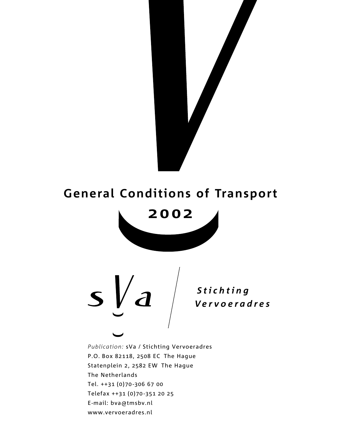

### General Conditions of Transport



 *S t i c h t i n g Ve r v o e r a d r e s*

Publication: sVa / Stichting Vervoeradres P.O. Box 82118, 2508 EC The Hague Statenplein 2, 2582 EW The Hague The Netherlands Tel. ++31 (0)70-306 67 00 Telefax ++31 (0)70-351 20 25 E-mail: bva@tmsbv.nl www.vervoeradres.nl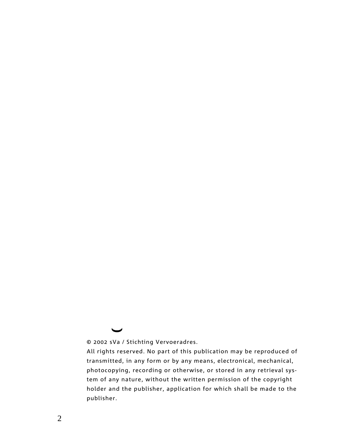© 2002 sVa / Stichting Vervoeradres.

 $\ddot{\phantom{0}}$ 

All rights reserved. No part of this publication may be reproduced of transmitted, in any form or by any means, electronical, mechanical, photocopying, recording or otherwise, or stored in any retrieval system of any nature, without the written permission of the copyright holder and the publisher, application for which shall be made to the publisher.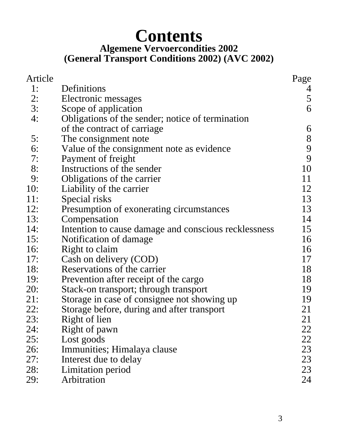# **Contents**

#### **Algemene Vervoercondities 2002 (General Transport Conditions 2002) (AVC 2002)**

| Article |                                                      | Page                                       |
|---------|------------------------------------------------------|--------------------------------------------|
| 1:      | Definitions                                          | 4                                          |
| 2:      | Electronic messages                                  | 5                                          |
| 3:      | Scope of application                                 | 6                                          |
| 4:      | Obligations of the sender; notice of termination     |                                            |
|         | of the contract of carriage                          | 6                                          |
| 5:      | The consignment note                                 |                                            |
| 6:      | Value of the consignment note as evidence            | $\begin{array}{c} 8 \\ 9 \\ 9 \end{array}$ |
| 7:      | Payment of freight                                   |                                            |
| 8:      | Instructions of the sender                           | 10                                         |
| 9:      | Obligations of the carrier                           | 11                                         |
| 10:     | Liability of the carrier                             | 12                                         |
| 11:     | Special risks                                        | 13                                         |
| 12:     | Presumption of exonerating circumstances             | 13                                         |
| 13:     | Compensation                                         | 14                                         |
| 14:     | Intention to cause damage and conscious recklessness | 15                                         |
| 15:     | Notification of damage                               | 16                                         |
| 16:     | Right to claim                                       | 16                                         |
| 17:     | Cash on delivery (COD)                               | 17                                         |
| 18:     | Reservations of the carrier                          | 18                                         |
| 19:     | Prevention after receipt of the cargo                | 18                                         |
| 20:     | Stack-on transport; through transport                | 19                                         |
| 21:     | Storage in case of consignee not showing up          | 19                                         |
| 22:     | Storage before, during and after transport           | 21                                         |
| 23:     | Right of lien                                        | 21                                         |
| 24:     | Right of pawn                                        | 22                                         |
| 25:     | Lost goods                                           | 22                                         |
| 26:     | Immunities; Himalaya clause                          | 23                                         |
| 27:     | Interest due to delay                                | 23                                         |
| 28:     | Limitation period                                    | 23                                         |
| 29:     | Arbitration                                          | 24                                         |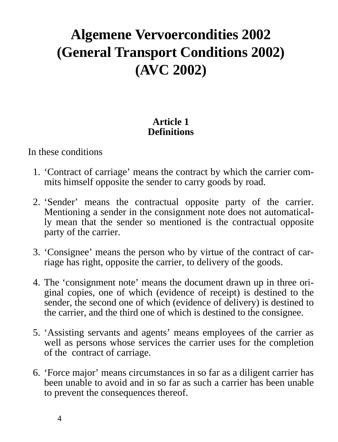## **Algemene Vervoercondities 2002 (General Transport Conditions 2002) (AVC 2002)**

#### **Article 1 Definitions**

In these conditions

- 1. 'Contract of carriage' means the contract by which the carrier commits himself opposite the sender to carry goods by road.
- 2. 'Sender' means the contractual opposite party of the carrier. Mentioning a sender in the consignment note does not automatically mean that the sender so mentioned is the contractual opposite party of the carrier.
- 3. 'Consignee' means the person who by virtue of the contract of carriage has right, opposite the carrier, to delivery of the goods.
- 4. The 'consignment note' means the document drawn up in three original copies, one of which (evidence of receipt) is destined to the sender, the second one of which (evidence of delivery) is destined to the carrier, and the third one of which is destined to the consignee.
- 5. 'Assisting servants and agents' means employees of the carrier as well as persons whose services the carrier uses for the completion of the contract of carriage.
- 6. 'Force major' means circumstances in so far as a diligent carrier has been unable to avoid and in so far as such a carrier has been unable to prevent the consequences thereof.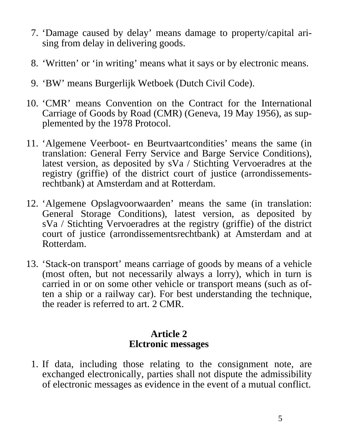- 7. 'Damage caused by delay' means damage to property/capital arising from delay in delivering goods.
- 8. 'Written' or 'in writing' means what it says or by electronic means.
- 9. 'BW' means Burgerlijk Wetboek (Dutch Civil Code).
- 10. 'CMR' means Convention on the Contract for the International Carriage of Goods by Road (CMR) (Geneva, 19 May 1956), as supplemented by the 1978 Protocol.
- 11. 'Algemene Veerboot- en Beurtvaartcondities' means the same (in translation: General Ferry Service and Barge Service Conditions), latest version, as deposited by sVa / Stichting Vervoeradres at the registry (griffie) of the district court of justice (arrondissementsrechtbank) at Amsterdam and at Rotterdam.
- 12. 'Algemene Opslagvoorwaarden' means the same (in translation: General Storage Conditions), latest version, as deposited by sVa / Stichting Vervoeradres at the registry (griffie) of the district court of justice (arrondissementsrechtbank) at Amsterdam and at Rotterdam.
- 13. 'Stack-on transport' means carriage of goods by means of a vehicle (most often, but not necessarily always a lorry), which in turn is carried in or on some other vehicle or transport means (such as often a ship or a railway car). For best understanding the technique, the reader is referred to art. 2 CMR.

#### **Article 2 Elctronic messages**

1. If data, including those relating to the consignment note, are exchanged electronically, parties shall not dispute the admissibility of electronic messages as evidence in the event of a mutual conflict.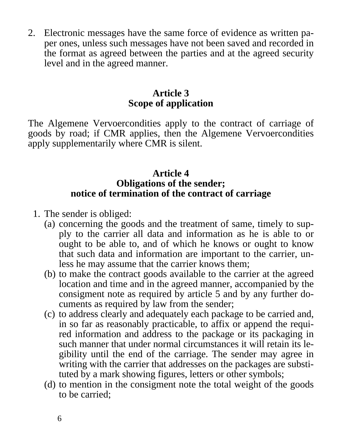2. Electronic messages have the same force of evidence as written paper ones, unless such messages have not been saved and recorded in the format as agreed between the parties and at the agreed security level and in the agreed manner.

#### **Article 3 Scope of application**

The Algemene Vervoercondities apply to the contract of carriage of goods by road; if CMR applies, then the Algemene Vervoercondities apply supplementarily where CMR is silent.

#### **Article 4 Obligations of the sender; notice of termination of the contract of carriage**

- 1. The sender is obliged:
	- (a) concerning the goods and the treatment of same, timely to supply to the carrier all data and information as he is able to or ought to be able to, and of which he knows or ought to know that such data and information are important to the carrier, unless he may assume that the carrier knows them;
	- (b) to make the contract goods available to the carrier at the agreed location and time and in the agreed manner, accompanied by the consigment note as required by article 5 and by any further documents as required by law from the sender;
	- (c) to address clearly and adequately each package to be carried and, in so far as reasonably practicable, to affix or append the required information and address to the package or its packaging in such manner that under normal circumstances it will retain its legibility until the end of the carriage. The sender may agree in writing with the carrier that addresses on the packages are substituted by a mark showing figures, letters or other symbols;
	- (d) to mention in the consigment note the total weight of the goods to be carried;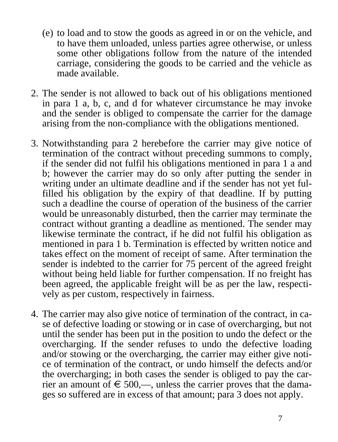- (e) to load and to stow the goods as agreed in or on the vehicle, and to have them unloaded, unless parties agree otherwise, or unless some other obligations follow from the nature of the intended carriage, considering the goods to be carried and the vehicle as made available.
- 2. The sender is not allowed to back out of his obligations mentioned in para 1 a, b, c, and d for whatever circumstance he may invoke and the sender is obliged to compensate the carrier for the damage arising from the non-compliance with the obligations mentioned.
- 3. Notwithstanding para 2 herebefore the carrier may give notice of termination of the contract without preceding summons to comply, if the sender did not fulfil his obligations mentioned in para 1 a and b; however the carrier may do so only after putting the sender in writing under an ultimate deadline and if the sender has not yet fulfilled his obligation by the expiry of that deadline. If by putting such a deadline the course of operation of the business of the carrier would be unreasonably disturbed, then the carrier may terminate the contract without granting a deadline as mentioned. The sender may likewise terminate the contract, if he did not fulfil his obligation as mentioned in para 1 b. Termination is effected by written notice and takes effect on the moment of receipt of same. After termination the sender is indebted to the carrier for 75 percent of the agreed freight without being held liable for further compensation. If no freight has been agreed, the applicable freight will be as per the law, respectively as per custom, respectively in fairness.
- 4. The carrier may also give notice of termination of the contract, in case of defective loading or stowing or in case of overcharging, but not until the sender has been put in the position to undo the defect or the overcharging. If the sender refuses to undo the defective loading and/or stowing or the overcharging, the carrier may either give notice of termination of the contract, or undo himself the defects and/or the overcharging; in both cases the sender is obliged to pay the carrier an amount of  $\epsilon \leq 500$ ,—, unless the carrier proves that the damages so suffered are in excess of that amount; para 3 does not apply.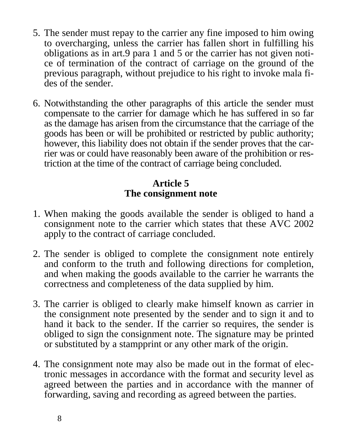- 5. The sender must repay to the carrier any fine imposed to him owing to overcharging, unless the carrier has fallen short in fulfilling his obligations as in art.9 para 1 and 5 or the carrier has not given notice of termination of the contract of carriage on the ground of the previous paragraph, without prejudice to his right to invoke mala fides of the sender.
- 6. Notwithstanding the other paragraphs of this article the sender must compensate to the carrier for damage which he has suffered in so far as the damage has arisen from the circumstance that the carriage of the goods has been or will be prohibited or restricted by public authority; however, this liability does not obtain if the sender proves that the carrier was or could have reasonably been aware of the prohibition or restriction at the time of the contract of carriage being concluded.

#### **Article 5 The consignment note**

- 1. When making the goods available the sender is obliged to hand a consignment note to the carrier which states that these AVC 2002 apply to the contract of carriage concluded.
- 2. The sender is obliged to complete the consignment note entirely and conform to the truth and following directions for completion, and when making the goods available to the carrier he warrants the correctness and completeness of the data supplied by him.
- 3. The carrier is obliged to clearly make himself known as carrier in the consignment note presented by the sender and to sign it and to hand it back to the sender. If the carrier so requires, the sender is obliged to sign the consignment note. The signature may be printed or substituted by a stampprint or any other mark of the origin.
- 4. The consignment note may also be made out in the format of electronic messages in accordance with the format and security level as agreed between the parties and in accordance with the manner of forwarding, saving and recording as agreed between the parties.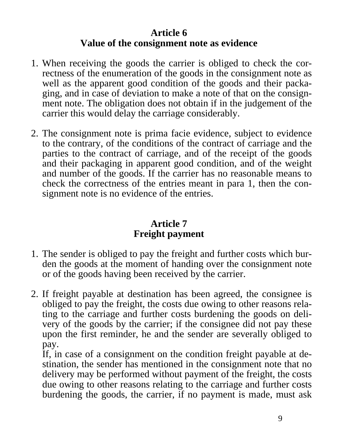#### **Article 6 Value of the consignment note as evidence**

- 1. When receiving the goods the carrier is obliged to check the correctness of the enumeration of the goods in the consignment note as well as the apparent good condition of the goods and their packaging, and in case of deviation to make a note of that on the consignment note. The obligation does not obtain if in the judgement of the carrier this would delay the carriage considerably.
- 2. The consignment note is prima facie evidence, subject to evidence to the contrary, of the conditions of the contract of carriage and the parties to the contract of carriage, and of the receipt of the goods and their packaging in apparent good condition, and of the weight and number of the goods. If the carrier has no reasonable means to check the correctness of the entries meant in para 1, then the consignment note is no evidence of the entries.

#### **Article 7 Freight payment**

- 1. The sender is obliged to pay the freight and further costs which burden the goods at the moment of handing over the consignment note or of the goods having been received by the carrier.
- 2. If freight payable at destination has been agreed, the consignee is obliged to pay the freight, the costs due owing to other reasons relating to the carriage and further costs burdening the goods on delivery of the goods by the carrier; if the consignee did not pay these upon the first reminder, he and the sender are severally obliged to pay.

If, in case of a consignment on the condition freight payable at destination, the sender has mentioned in the consignment note that no delivery may be performed without payment of the freight, the costs due owing to other reasons relating to the carriage and further costs burdening the goods, the carrier, if no payment is made, must ask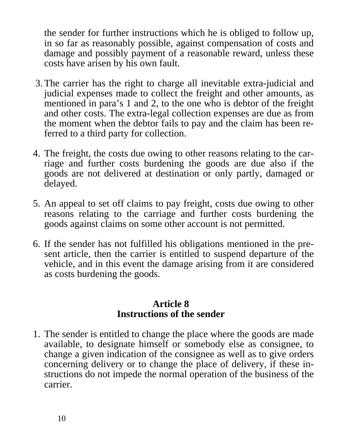the sender for further instructions which he is obliged to follow up, in so far as reasonably possible, against compensation of costs and damage and possibly payment of a reasonable reward, unless these costs have arisen by his own fault.

- 3. The carrier has the right to charge all inevitable extra-judicial and judicial expenses made to collect the freight and other amounts, as mentioned in para's 1 and 2, to the one who is debtor of the freight and other costs. The extra-legal collection expenses are due as from the moment when the debtor fails to pay and the claim has been referred to a third party for collection.
- 4. The freight, the costs due owing to other reasons relating to the carriage and further costs burdening the goods are due also if the goods are not delivered at destination or only partly, damaged or delayed.
- 5. An appeal to set off claims to pay freight, costs due owing to other reasons relating to the carriage and further costs burdening the goods against claims on some other account is not permitted.
- 6. If the sender has not fulfilled his obligations mentioned in the present article, then the carrier is entitled to suspend departure of the vehicle, and in this event the damage arising from it are considered as costs burdening the goods.

#### **Article 8 Instructions of the sender**

1. The sender is entitled to change the place where the goods are made available, to designate himself or somebody else as consignee, to change a given indication of the consignee as well as to give orders concerning delivery or to change the place of delivery, if these instructions do not impede the normal operation of the business of the carrier.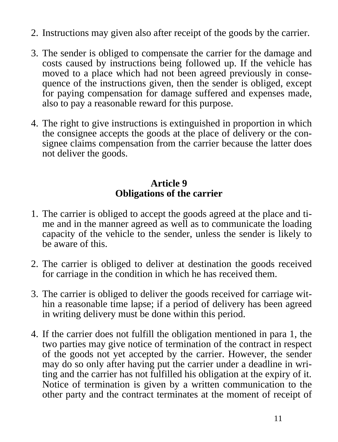- 2. Instructions may given also after receipt of the goods by the carrier.
- 3. The sender is obliged to compensate the carrier for the damage and costs caused by instructions being followed up. If the vehicle has moved to a place which had not been agreed previously in consequence of the instructions given, then the sender is obliged, except for paying compensation for damage suffered and expenses made, also to pay a reasonable reward for this purpose.
- 4. The right to give instructions is extinguished in proportion in which the consignee accepts the goods at the place of delivery or the consignee claims compensation from the carrier because the latter does not deliver the goods.

#### **Article 9 Obligations of the carrier**

- 1. The carrier is obliged to accept the goods agreed at the place and time and in the manner agreed as well as to communicate the loading capacity of the vehicle to the sender, unless the sender is likely to be aware of this.
- 2. The carrier is obliged to deliver at destination the goods received for carriage in the condition in which he has received them.
- 3. The carrier is obliged to deliver the goods received for carriage within a reasonable time lapse; if a period of delivery has been agreed in writing delivery must be done within this period.
- 4. If the carrier does not fulfill the obligation mentioned in para 1, the two parties may give notice of termination of the contract in respect of the goods not yet accepted by the carrier. However, the sender may do so only after having put the carrier under a deadline in writing and the carrier has not fulfilled his obligation at the expiry of it. Notice of termination is given by a written communication to the other party and the contract terminates at the moment of receipt of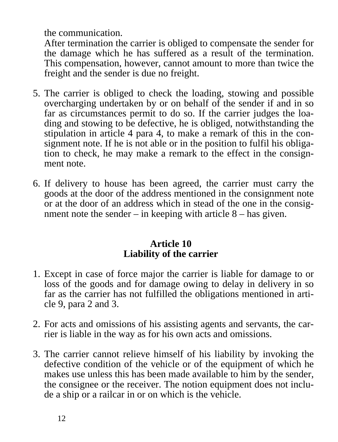the communication.

After termination the carrier is obliged to compensate the sender for the damage which he has suffered as a result of the termination. This compensation, however, cannot amount to more than twice the freight and the sender is due no freight.

- 5. The carrier is obliged to check the loading, stowing and possible overcharging undertaken by or on behalf of the sender if and in so far as circumstances permit to do so. If the carrier judges the loading and stowing to be defective, he is obliged, notwithstanding the stipulation in article 4 para 4, to make a remark of this in the consignment note. If he is not able or in the position to fulfil his obligation to check, he may make a remark to the effect in the consignment note.
- 6. If delivery to house has been agreed, the carrier must carry the goods at the door of the address mentioned in the consignment note or at the door of an address which in stead of the one in the consignment note the sender – in keeping with article 8 – has given.

#### **Article 10 Liability of the carrier**

- 1. Except in case of force major the carrier is liable for damage to or loss of the goods and for damage owing to delay in delivery in so far as the carrier has not fulfilled the obligations mentioned in article 9, para 2 and 3.
- 2. For acts and omissions of his assisting agents and servants, the carrier is liable in the way as for his own acts and omissions.
- 3. The carrier cannot relieve himself of his liability by invoking the defective condition of the vehicle or of the equipment of which he makes use unless this has been made available to him by the sender, the consignee or the receiver. The notion equipment does not include a ship or a railcar in or on which is the vehicle.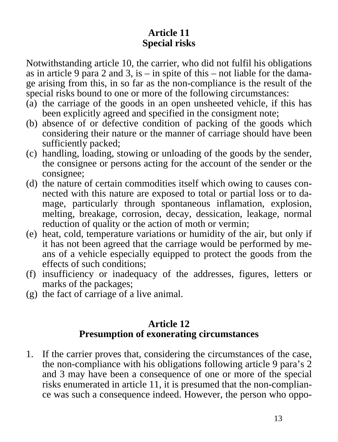#### **Article 11 Special risks**

Notwithstanding article 10, the carrier, who did not fulfil his obligations as in article 9 para 2 and 3, is – in spite of this – not liable for the damage arising from this, in so far as the non-compliance is the result of the special risks bound to one or more of the following circumstances:

- (a) the carriage of the goods in an open unsheeted vehicle, if this has been explicitly agreed and specified in the consigment note;
- (b) absence of or defective condition of packing of the goods which considering their nature or the manner of carriage should have been sufficiently packed;
- (c) handling, loading, stowing or unloading of the goods by the sender, the consignee or persons acting for the account of the sender or the consignee;
- (d) the nature of certain commodities itself which owing to causes connected with this nature are exposed to total or partial loss or to damage, particularly through spontaneous inflamation, explosion, melting, breakage, corrosion, decay, dessication, leakage, normal reduction of quality or the action of moth or vermin;
- (e) heat, cold, temperature variations or humidity of the air, but only if it has not been agreed that the carriage would be performed by means of a vehicle especially equipped to protect the goods from the effects of such conditions;
- (f) insufficiency or inadequacy of the addresses, figures, letters or marks of the packages;
- (g) the fact of carriage of a live animal.

#### **Article 12 Presumption of exonerating circumstances**

1. If the carrier proves that, considering the circumstances of the case, the non-compliance with his obligations following article 9 para's 2 and 3 may have been a consequence of one or more of the special risks enumerated in article 11, it is presumed that the non-compliance was such a consequence indeed. However, the person who oppo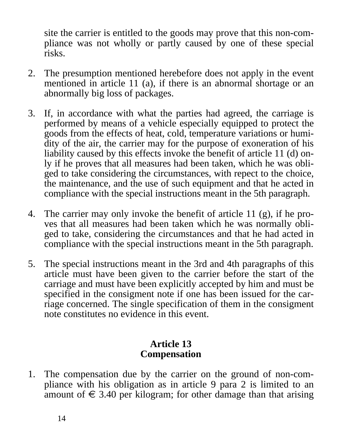site the carrier is entitled to the goods may prove that this non-compliance was not wholly or partly caused by one of these special risks.

- 2. The presumption mentioned herebefore does not apply in the event mentioned in article 11 (a), if there is an abnormal shortage or an abnormally big loss of packages.
- 3. If, in accordance with what the parties had agreed, the carriage is performed by means of a vehicle especially equipped to protect the goods from the effects of heat, cold, temperature variations or humidity of the air, the carrier may for the purpose of exoneration of his liability caused by this effects invoke the benefit of article 11 (d) only if he proves that all measures had been taken, which he was obliged to take considering the circumstances, with repect to the choice, the maintenance, and the use of such equipment and that he acted in compliance with the special instructions meant in the 5th paragraph.
- 4. The carrier may only invoke the benefit of article 11 (g), if he proves that all measures had been taken which he was normally obliged to take, considering the circumstances and that he had acted in compliance with the special instructions meant in the 5th paragraph.
- 5. The special instructions meant in the 3rd and 4th paragraphs of this article must have been given to the carrier before the start of the carriage and must have been explicitly accepted by him and must be specified in the consigment note if one has been issued for the carriage concerned. The single specification of them in the consigment note constitutes no evidence in this event.

#### **Article 13 Compensation**

1. The compensation due by the carrier on the ground of non-compliance with his obligation as in article 9 para 2 is limited to an amount of  $\epsilon$  3.40 per kilogram; for other damage than that arising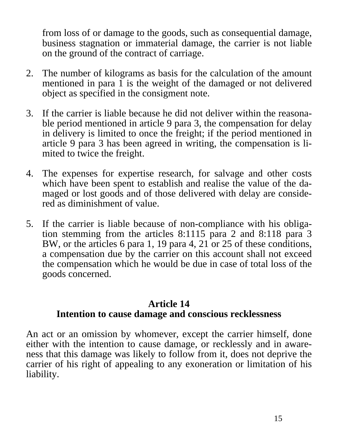from loss of or damage to the goods, such as consequential damage, business stagnation or immaterial damage, the carrier is not liable on the ground of the contract of carriage.

- 2. The number of kilograms as basis for the calculation of the amount mentioned in para  $\overline{1}$  is the weight of the damaged or not delivered object as specified in the consigment note.
- 3. If the carrier is liable because he did not deliver within the reasonable period mentioned in article 9 para 3, the compensation for delay in delivery is limited to once the freight; if the period mentioned in article 9 para 3 has been agreed in writing, the compensation is limited to twice the freight.
- 4. The expenses for expertise research, for salvage and other costs which have been spent to establish and realise the value of the damaged or lost goods and of those delivered with delay are considered as diminishment of value.
- 5. If the carrier is liable because of non-compliance with his obligation stemming from the articles 8:1115 para 2 and 8:118 para 3 BW, or the articles 6 para 1, 19 para 4, 21 or 25 of these conditions, a compensation due by the carrier on this account shall not exceed the compensation which he would be due in case of total loss of the goods concerned.

#### **Article 14 Intention to cause damage and conscious recklessness**

An act or an omission by whomever, except the carrier himself, done either with the intention to cause damage, or recklessly and in awareness that this damage was likely to follow from it, does not deprive the carrier of his right of appealing to any exoneration or limitation of his liability.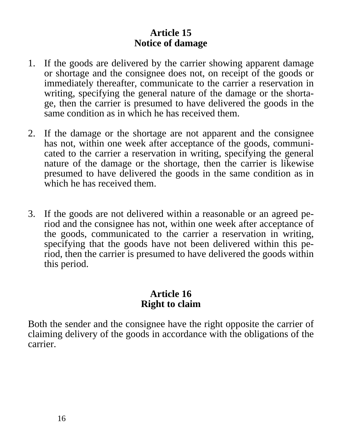#### **Article 15 Notice of damage**

- 1. If the goods are delivered by the carrier showing apparent damage or shortage and the consignee does not, on receipt of the goods or immediately thereafter, communicate to the carrier a reservation in writing, specifying the general nature of the damage or the shortage, then the carrier is presumed to have delivered the goods in the same condition as in which he has received them.
- 2. If the damage or the shortage are not apparent and the consignee has not, within one week after acceptance of the goods, communicated to the carrier a reservation in writing, specifying the general nature of the damage or the shortage, then the carrier is likewise presumed to have delivered the goods in the same condition as in which he has received them.
- 3. If the goods are not delivered within a reasonable or an agreed period and the consignee has not, within one week after acceptance of the goods, communicated to the carrier a reservation in writing, specifying that the goods have not been delivered within this period, then the carrier is presumed to have delivered the goods within this period.

#### **Article 16 Right to claim**

Both the sender and the consignee have the right opposite the carrier of claiming delivery of the goods in accordance with the obligations of the carrier.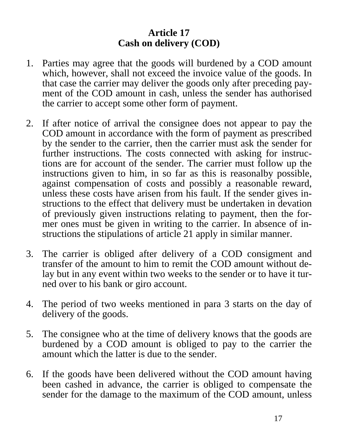#### **Article 17 Cash on delivery (COD)**

- 1. Parties may agree that the goods will burdened by a COD amount which, however, shall not exceed the invoice value of the goods. In that case the carrier may deliver the goods only after preceding payment of the COD amount in cash, unless the sender has authorised the carrier to accept some other form of payment.
- 2. If after notice of arrival the consignee does not appear to pay the COD amount in accordance with the form of payment as prescribed by the sender to the carrier, then the carrier must ask the sender for further instructions. The costs connected with asking for instructions are for account of the sender. The carrier must follow up the instructions given to him, in so far as this is reasonalby possible, against compensation of costs and possibly a reasonable reward, unless these costs have arisen from his fault. If the sender gives instructions to the effect that delivery must be undertaken in devation of previously given instructions relating to payment, then the former ones must be given in writing to the carrier. In absence of instructions the stipulations of article 21 apply in similar manner.
- 3. The carrier is obliged after delivery of a COD consigment and transfer of the amount to him to remit the COD amount without delay but in any event within two weeks to the sender or to have it turned over to his bank or giro account.
- 4. The period of two weeks mentioned in para 3 starts on the day of delivery of the goods.
- 5. The consignee who at the time of delivery knows that the goods are burdened by a COD amount is obliged to pay to the carrier the amount which the latter is due to the sender.
- 6. If the goods have been delivered without the COD amount having been cashed in advance, the carrier is obliged to compensate the sender for the damage to the maximum of the COD amount, unless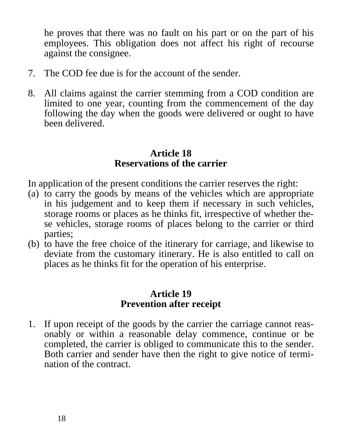he proves that there was no fault on his part or on the part of his employees. This obligation does not affect his right of recourse against the consignee.

- 7. The COD fee due is for the account of the sender.
- 8. All claims against the carrier stemming from a COD condition are limited to one year, counting from the commencement of the day following the day when the goods were delivered or ought to have been delivered.

#### **Article 18 Reservations of the carrier**

In application of the present conditions the carrier reserves the right:

- (a) to carry the goods by means of the vehicles which are appropriate in his judgement and to keep them if necessary in such vehicles, storage rooms or places as he thinks fit, irrespective of whether these vehicles, storage rooms of places belong to the carrier or third parties;
- (b) to have the free choice of the itinerary for carriage, and likewise to deviate from the customary itinerary. He is also entitled to call on places as he thinks fit for the operation of his enterprise.

#### **Article 19 Prevention after receipt**

1. If upon receipt of the goods by the carrier the carriage cannot reasonably or within a reasonable delay commence, continue or be completed, the carrier is obliged to communicate this to the sender. Both carrier and sender have then the right to give notice of termination of the contract.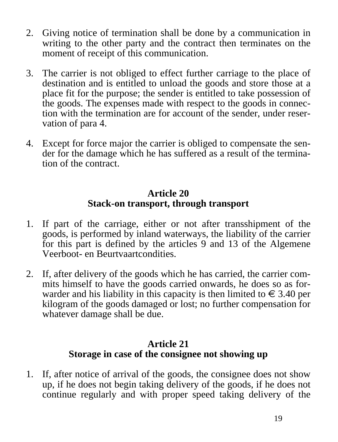- 2. Giving notice of termination shall be done by a communication in writing to the other party and the contract then terminates on the moment of receipt of this communication.
- 3. The carrier is not obliged to effect further carriage to the place of destination and is entitled to unload the goods and store those at a place fit for the purpose; the sender is entitled to take possession of the goods. The expenses made with respect to the goods in connection with the termination are for account of the sender, under reservation of para 4.
- 4. Except for force major the carrier is obliged to compensate the sender for the damage which he has suffered as a result of the termination of the contract.

#### **Article 20 Stack-on transport, through transport**

- 1. If part of the carriage, either or not after transshipment of the goods, is performed by inland waterways, the liability of the carrier for this part is defined by the articles 9 and 13 of the Algemene Veerboot- en Beurtvaartcondities.
- 2. If, after delivery of the goods which he has carried, the carrier commits himself to have the goods carried onwards, he does so as forwarder and his liability in this capacity is then limited to  $\epsilon \leq 3.40$  per kilogram of the goods damaged or lost; no further compensation for whatever damage shall be due.

#### **Article 21 Storage in case of the consignee not showing up**

1. If, after notice of arrival of the goods, the consignee does not show up, if he does not begin taking delivery of the goods, if he does not continue regularly and with proper speed taking delivery of the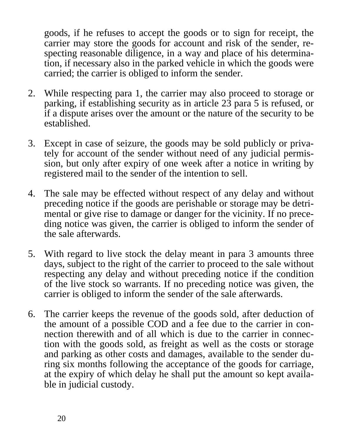goods, if he refuses to accept the goods or to sign for receipt, the carrier may store the goods for account and risk of the sender, respecting reasonable diligence, in a way and place of his determination, if necessary also in the parked vehicle in which the goods were carried; the carrier is obliged to inform the sender.

- 2. While respecting para 1, the carrier may also proceed to storage or parking, if establishing security as in article 23 para 5 is refused, or if a dispute arises over the amount or the nature of the security to be established.
- 3. Except in case of seizure, the goods may be sold publicly or privately for account of the sender without need of any judicial permission, but only after expiry of one week after a notice in writing by registered mail to the sender of the intention to sell.
- 4. The sale may be effected without respect of any delay and without preceding notice if the goods are perishable or storage may be detrimental or give rise to damage or danger for the vicinity. If no preceding notice was given, the carrier is obliged to inform the sender of the sale afterwards.
- 5. With regard to live stock the delay meant in para 3 amounts three days, subject to the right of the carrier to proceed to the sale without respecting any delay and without preceding notice if the condition of the live stock so warrants. If no preceding notice was given, the carrier is obliged to inform the sender of the sale afterwards.
- 6. The carrier keeps the revenue of the goods sold, after deduction of the amount of a possible COD and a fee due to the carrier in connection therewith and of all which is due to the carrier in connection with the goods sold, as freight as well as the costs or storage and parking as other costs and damages, available to the sender during six months following the acceptance of the goods for carriage, at the expiry of which delay he shall put the amount so kept available in judicial custody.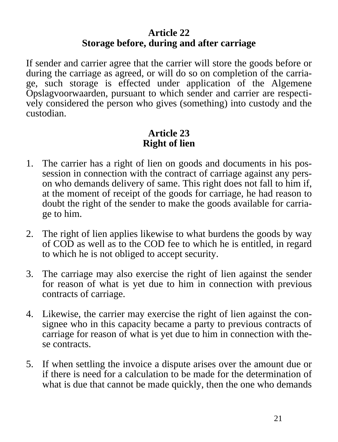#### **Article 22 Storage before, during and after carriage**

If sender and carrier agree that the carrier will store the goods before or during the carriage as agreed, or will do so on completion of the carriage, such storage is effected under application of the Algemene Opslagvoorwaarden, pursuant to which sender and carrier are respectively considered the person who gives (something) into custody and the custodian.

#### **Article 23 Right of lien**

- 1. The carrier has a right of lien on goods and documents in his possession in connection with the contract of carriage against any person who demands delivery of same. This right does not fall to him if, at the moment of receipt of the goods for carriage, he had reason to doubt the right of the sender to make the goods available for carriage to him.
- 2. The right of lien applies likewise to what burdens the goods by way of COD as well as to the COD fee to which he is entitled, in regard to which he is not obliged to accept security.
- 3. The carriage may also exercise the right of lien against the sender for reason of what is yet due to him in connection with previous contracts of carriage.
- 4. Likewise, the carrier may exercise the right of lien against the consignee who in this capacity became a party to previous contracts of carriage for reason of what is yet due to him in connection with these contracts.
- 5. If when settling the invoice a dispute arises over the amount due or if there is need for a calculation to be made for the determination of what is due that cannot be made quickly, then the one who demands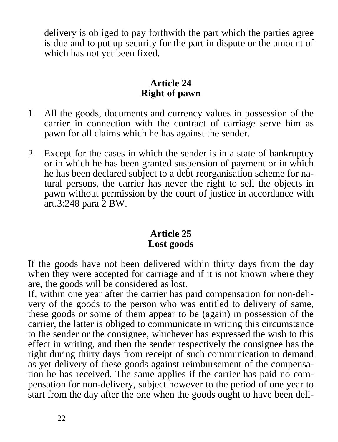delivery is obliged to pay forthwith the part which the parties agree is due and to put up security for the part in dispute or the amount of which has not yet been fixed.

#### **Article 24 Right of pawn**

- 1. All the goods, documents and currency values in possession of the carrier in connection with the contract of carriage serve him as pawn for all claims which he has against the sender.
- 2. Except for the cases in which the sender is in a state of bankruptcy or in which he has been granted suspension of payment or in which he has been declared subject to a debt reorganisation scheme for natural persons, the carrier has never the right to sell the objects in pawn without permission by the court of justice in accordance with art.3:248 para 2 BW.

#### **Article 25 Lost goods**

If the goods have not been delivered within thirty days from the day when they were accepted for carriage and if it is not known where they are, the goods will be considered as lost.

If, within one year after the carrier has paid compensation for non-delivery of the goods to the person who was entitled to delivery of same, these goods or some of them appear to be (again) in possession of the carrier, the latter is obliged to communicate in writing this circumstance to the sender or the consignee, whichever has expressed the wish to this effect in writing, and then the sender respectively the consignee has the right during thirty days from receipt of such communication to demand as yet delivery of these goods against reimbursement of the compensation he has received. The same applies if the carrier has paid no compensation for non-delivery, subject however to the period of one year to start from the day after the one when the goods ought to have been deli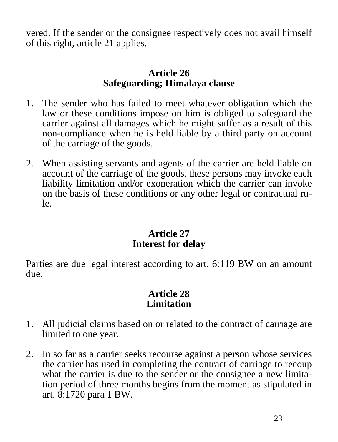vered. If the sender or the consignee respectively does not avail himself of this right, article 21 applies.

#### **Article 26 Safeguarding; Himalaya clause**

- 1. The sender who has failed to meet whatever obligation which the law or these conditions impose on him is obliged to safeguard the carrier against all damages which he might suffer as a result of this non-compliance when he is held liable by a third party on account of the carriage of the goods.
- 2. When assisting servants and agents of the carrier are held liable on account of the carriage of the goods, these persons may invoke each liability limitation and/or exoneration which the carrier can invoke on the basis of these conditions or any other legal or contractual rule.

#### **Article 27 Interest for delay**

Parties are due legal interest according to art. 6:119 BW on an amount due.

#### **Article 28 Limitation**

- 1. All judicial claims based on or related to the contract of carriage are limited to one year.
- 2. In so far as a carrier seeks recourse against a person whose services the carrier has used in completing the contract of carriage to recoup what the carrier is due to the sender or the consignee a new limitation period of three months begins from the moment as stipulated in art. 8:1720 para 1 BW.